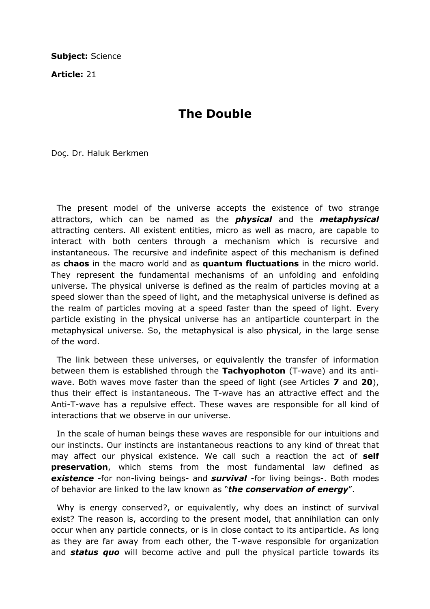Subject: Science

Article: 21

## The Double

Doç. Dr. Haluk Berkmen

 The present model of the universe accepts the existence of two strange attractors, which can be named as the *physical* and the *metaphysical* attracting centers. All existent entities, micro as well as macro, are capable to interact with both centers through a mechanism which is recursive and instantaneous. The recursive and indefinite aspect of this mechanism is defined as chaos in the macro world and as quantum fluctuations in the micro world. They represent the fundamental mechanisms of an unfolding and enfolding universe. The physical universe is defined as the realm of particles moving at a speed slower than the speed of light, and the metaphysical universe is defined as the realm of particles moving at a speed faster than the speed of light. Every particle existing in the physical universe has an antiparticle counterpart in the metaphysical universe. So, the metaphysical is also physical, in the large sense of the word.

 The link between these universes, or equivalently the transfer of information between them is established through the **Tachyophoton** (T-waye) and its antiwave. Both waves move faster than the speed of light (see Articles **7** and **20**), thus their effect is instantaneous. The T-wave has an attractive effect and the Anti-T-wave has a repulsive effect. These waves are responsible for all kind of interactions that we observe in our universe.

 In the scale of human beings these waves are responsible for our intuitions and our instincts. Our instincts are instantaneous reactions to any kind of threat that may affect our physical existence. We call such a reaction the act of self preservation, which stems from the most fundamental law defined as existence -for non-living beings- and survival -for living beings-. Both modes of behavior are linked to the law known as "the conservation of energy".

 Why is energy conserved?, or equivalently, why does an instinct of survival exist? The reason is, according to the present model, that annihilation can only occur when any particle connects, or is in close contact to its antiparticle. As long as they are far away from each other, the T-wave responsible for organization and **status quo** will become active and pull the physical particle towards its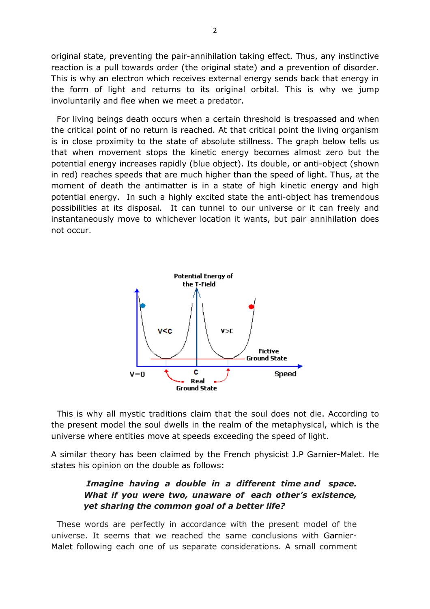original state, preventing the pair-annihilation taking effect. Thus, any instinctive reaction is a pull towards order (the original state) and a prevention of disorder. This is why an electron which receives external energy sends back that energy in the form of light and returns to its original orbital. This is why we jump involuntarily and flee when we meet a predator.

 For living beings death occurs when a certain threshold is trespassed and when the critical point of no return is reached. At that critical point the living organism is in close proximity to the state of absolute stillness. The graph below tells us that when movement stops the kinetic energy becomes almost zero but the potential energy increases rapidly (blue object). Its double, or anti-object (shown in red) reaches speeds that are much higher than the speed of light. Thus, at the moment of death the antimatter is in a state of high kinetic energy and high potential energy. In such a highly excited state the anti-object has tremendous possibilities at its disposal. It can tunnel to our universe or it can freely and instantaneously move to whichever location it wants, but pair annihilation does not occur.



 This is why all mystic traditions claim that the soul does not die. According to the present model the soul dwells in the realm of the metaphysical, which is the universe where entities move at speeds exceeding the speed of light.

A similar theory has been claimed by the French physicist J.P Garnier-Malet. He states his opinion on the double as follows:

## Imagine having a double in a different time and space. What if you were two, unaware of each other's existence, yet sharing the common goal of a better life?

 These words are perfectly in accordance with the present model of the universe. It seems that we reached the same conclusions with Garnier-Malet following each one of us separate considerations. A small comment